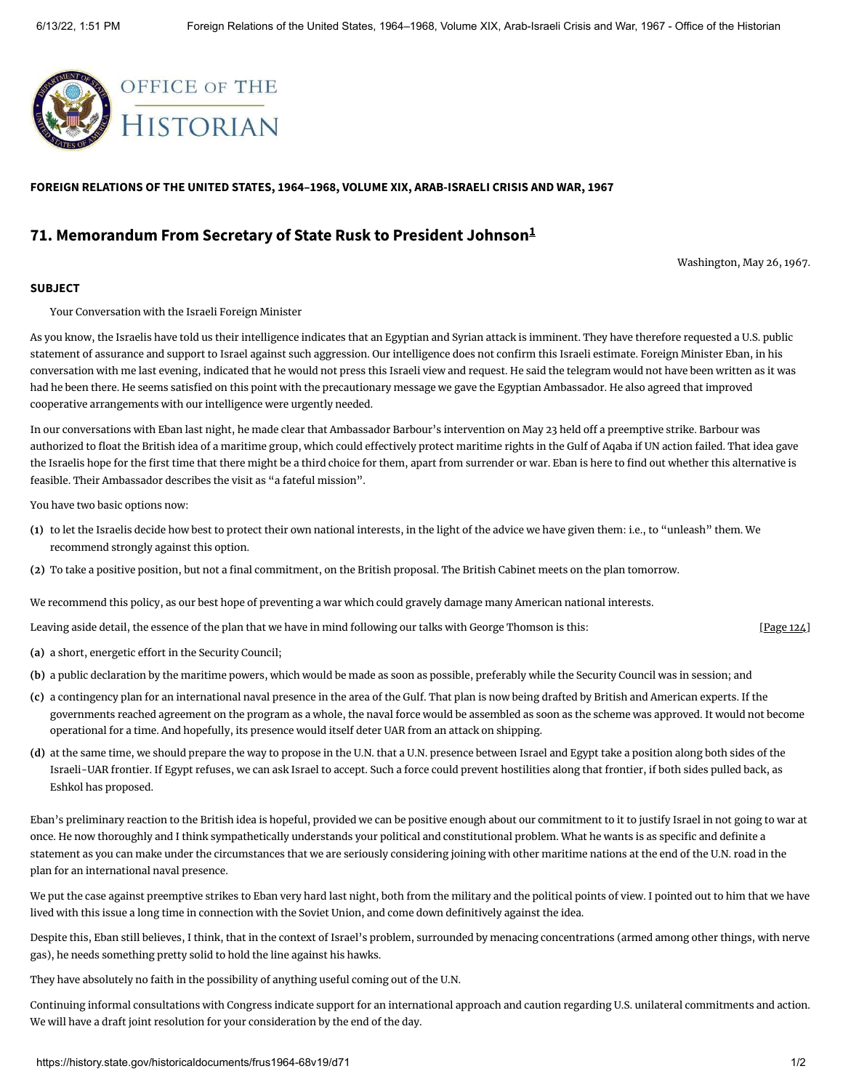

**FOREIGN RELATIONS OF THE UNITED STATES, 1964–1968, VOLUME XIX, ARAB-ISRAELI CRISIS AND WAR, 1967**

## **71. Memorandum From Secretary of State Rusk to President Johnson [1](#page-1-0)**

<span id="page-0-0"></span>Washington, May 26, 1967.

## **SUBJECT**

Your Conversation with the Israeli Foreign Minister

As you know, the Israelis have told us their intelligence indicates that an Egyptian and Syrian attack is imminent. They have therefore requested a U.S. public statement of assurance and support to Israel against such aggression. Our intelligence does not confirm this Israeli estimate. Foreign Minister Eban, in his conversation with me last evening, indicated that he would not press this Israeli view and request. He said the telegram would not have been written as it was had he been there. He seems satisfied on this point with the precautionary message we gave the Egyptian Ambassador. He also agreed that improved cooperative arrangements with our intelligence were urgently needed.

In our conversations with Eban last night, he made clear that Ambassador Barbour's intervention on May 23 held off a preemptive strike. Barbour was authorized to float the British idea of a maritime group, which could effectively protect maritime rights in the Gulf of Aqaba if UN action failed. That idea gave the Israelis hope for the first time that there might be a third choice for them, apart from surrender or war. Eban is here to find out whether this alternative is feasible. Their Ambassador describes the visit as "a fateful mission".

You have two basic options now:

- **(1)** to let the Israelis decide how best to protect their own national interests, in the light of the advice we have given them: i.e., to "unleash" them. We recommend strongly against this option.
- **(2)** To take a positive position, but not a final commitment, on the British proposal. The British Cabinet meets on the plan tomorrow.

We recommend this policy, as our best hope of preventing a war which could gravely damage many American national interests.

Leaving aside detail, the essence of the plan that we have in mind following our talks with George Thomson is this:

- **(a)** a short, energetic effort in the Security Council;
- **(b)** a public declaration by the maritime powers, which would be made as soon as possible, preferably while the Security Council was in session; and
- **(c)** a contingency plan for an international naval presence in the area of the Gulf. That plan is now being drafted by British and American experts. If the governments reached agreement on the program as a whole, the naval force would be assembled as soon as the scheme was approved. It would not become operational for a time. And hopefully, its presence would itself deter UAR from an attack on shipping.
- **(d)** at the same time, we should prepare the way to propose in the U.N. that a U.N. presence between Israel and Egypt take a position along both sides of the Israeli-UAR frontier. If Egypt refuses, we can ask Israel to accept. Such a force could prevent hostilities along that frontier, if both sides pulled back, as Eshkol has proposed.

Eban's preliminary reaction to the British idea is hopeful, provided we can be positive enough about our commitment to it to justify Israel in not going to war at once. He now thoroughly and I think sympathetically understands your political and constitutional problem. What he wants is as specific and definite a statement as you can make under the circumstances that we are seriously considering joining with other maritime nations at the end of the U.N. road in the plan for an international naval presence.

We put the case against preemptive strikes to Eban very hard last night, both from the military and the political points of view. I pointed out to him that we have lived with this issue a long time in connection with the Soviet Union, and come down definitively against the idea.

Despite this, Eban still believes, I think, that in the context of Israel's problem, surrounded by menacing concentrations (armed among other things, with nerve gas), he needs something pretty solid to hold the line against his hawks.

They have absolutely no faith in the possibility of anything useful coming out of the U.N.

Continuing informal consultations with Congress indicate support for an international approach and caution regarding U.S. unilateral commitments and action. We will have a draft joint resolution for your consideration by the end of the day.

[\[Page 124\]](https://history.state.gov/historicaldocuments/frus1964-68v19/pg_124)